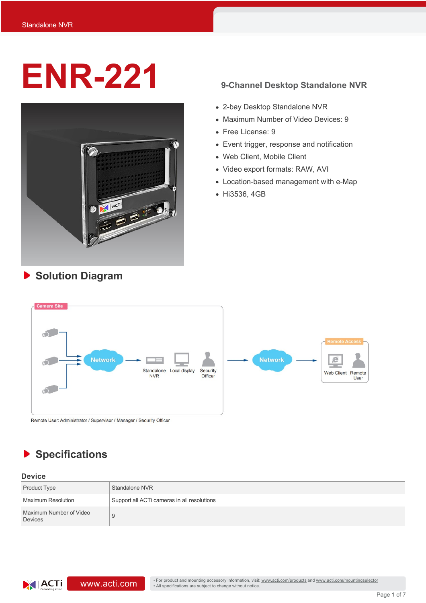# **ENR-221 9-Channel Desktop Standalone NVR**



- 2-bay Desktop Standalone NVR
- Maximum Number of Video Devices: 9
- Free License: 9
- Event trigger, response and notification
- Web Client, Mobile Client
- Video export formats: RAW, AVI
- Location-based management with e-Map
- Hi3536, 4GB



Remote User: Administrator / Supervisor / Manager / Security Officer

### **Specifications** ▶

**Solution Diagram**

### **Device**

| <b>Product Type</b>                       | Standalone NVR                              |
|-------------------------------------------|---------------------------------------------|
| <b>Maximum Resolution</b>                 | Support all ACTi cameras in all resolutions |
| Maximum Number of Video<br><b>Devices</b> | 9                                           |

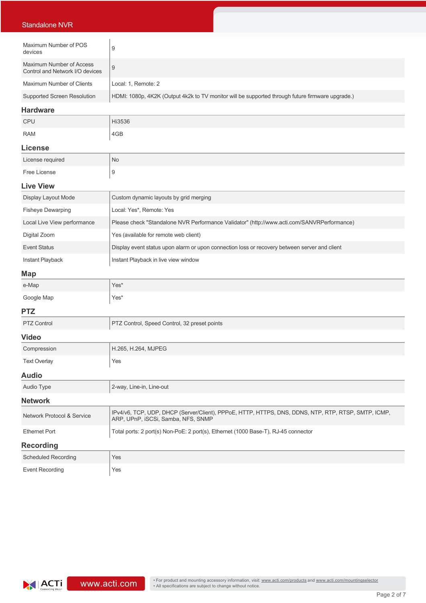| <b>Standalone NVR</b>                                       |                                                                                                                                           |  |  |  |
|-------------------------------------------------------------|-------------------------------------------------------------------------------------------------------------------------------------------|--|--|--|
|                                                             |                                                                                                                                           |  |  |  |
| Maximum Number of POS<br>devices                            | 9                                                                                                                                         |  |  |  |
| Maximum Number of Access<br>Control and Network I/O devices | $\boldsymbol{9}$                                                                                                                          |  |  |  |
| Maximum Number of Clients                                   | Local: 1, Remote: 2                                                                                                                       |  |  |  |
| <b>Supported Screen Resolution</b>                          | HDMI: 1080p, 4K2K (Output 4k2k to TV monitor will be supported through future firmware upgrade.)                                          |  |  |  |
| <b>Hardware</b>                                             |                                                                                                                                           |  |  |  |
| CPU                                                         | Hi3536                                                                                                                                    |  |  |  |
| <b>RAM</b>                                                  | 4GB                                                                                                                                       |  |  |  |
| <b>License</b>                                              |                                                                                                                                           |  |  |  |
| License required                                            | No                                                                                                                                        |  |  |  |
| Free License                                                | 9                                                                                                                                         |  |  |  |
| <b>Live View</b>                                            |                                                                                                                                           |  |  |  |
| Display Layout Mode                                         | Custom dynamic layouts by grid merging                                                                                                    |  |  |  |
| <b>Fisheye Dewarping</b>                                    | Local: Yes*, Remote: Yes                                                                                                                  |  |  |  |
| Local Live View performance                                 | Please check "Standalone NVR Performance Validator" (http://www.acti.com/SANVRPerformance)                                                |  |  |  |
| Digital Zoom                                                | Yes (available for remote web client)                                                                                                     |  |  |  |
| <b>Event Status</b>                                         | Display event status upon alarm or upon connection loss or recovery between server and client                                             |  |  |  |
| Instant Playback                                            | Instant Playback in live view window                                                                                                      |  |  |  |
| <b>Map</b>                                                  |                                                                                                                                           |  |  |  |
| e-Map                                                       | Yes*                                                                                                                                      |  |  |  |
| Google Map                                                  | Yes*                                                                                                                                      |  |  |  |
| <b>PTZ</b>                                                  |                                                                                                                                           |  |  |  |
| <b>PTZ Control</b>                                          | PTZ Control, Speed Control, 32 preset points                                                                                              |  |  |  |
| <b>Video</b>                                                |                                                                                                                                           |  |  |  |
| Compression                                                 | H.265, H.264, MJPEG                                                                                                                       |  |  |  |
| <b>Text Overlay</b>                                         | Yes                                                                                                                                       |  |  |  |
| <b>Audio</b>                                                |                                                                                                                                           |  |  |  |
| Audio Type                                                  | 2-way, Line-in, Line-out                                                                                                                  |  |  |  |
| <b>Network</b>                                              |                                                                                                                                           |  |  |  |
| Network Protocol & Service                                  | IPv4/v6, TCP, UDP, DHCP (Server/Client), PPPoE, HTTP, HTTPS, DNS, DDNS, NTP, RTP, RTSP, SMTP, ICMP,<br>ARP, UPnP, iSCSi, Samba, NFS, SNMP |  |  |  |
| <b>Ethernet Port</b>                                        | Total ports: 2 port(s) Non-PoE: 2 port(s), Ethernet (1000 Base-T), RJ-45 connector                                                        |  |  |  |
| <b>Recording</b>                                            |                                                                                                                                           |  |  |  |
| <b>Scheduled Recording</b>                                  | Yes                                                                                                                                       |  |  |  |
| <b>Event Recording</b>                                      | Yes                                                                                                                                       |  |  |  |

**ACTi** connecting Vision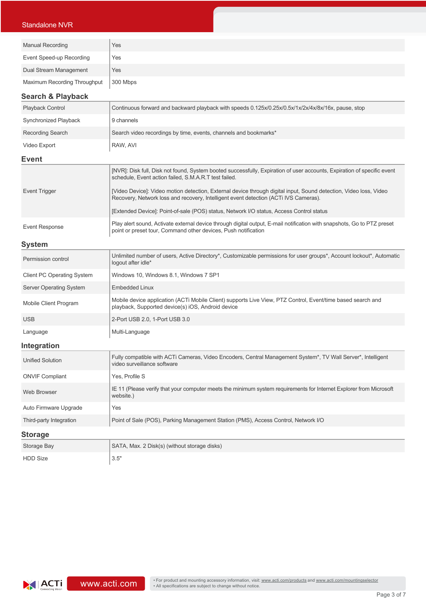### Standalone NVR

| <b>Manual Recording</b>      | Yes      |
|------------------------------|----------|
| Event Speed-up Recording     | Yes      |
| Dual Stream Management       | Yes      |
| Maximum Recording Throughput | 300 Mbps |

### **Search & Playback**

| <b>Playback Control</b> | Continuous forward and backward playback with speeds 0.125x/0.25x/0.5x/1x/2x/4x/8x/16x, pause, stop |  |
|-------------------------|-----------------------------------------------------------------------------------------------------|--|
| Synchronized Playback   | 9 channels                                                                                          |  |
| Recording Search        | Search video recordings by time, events, channels and bookmarks*                                    |  |
| Video Export            | RAW, AVI                                                                                            |  |

### **Event**

|                | [NVR]: Disk full, Disk not found, System booted successfully, Expiration of user accounts, Expiration of specific event<br>schedule, Event action failed, S.M.A.R.T test failed.                          |
|----------------|-----------------------------------------------------------------------------------------------------------------------------------------------------------------------------------------------------------|
| Event Trigger  | [Video Device]: Video motion detection, External device through digital input, Sound detection, Video loss, Video<br>Recovery, Network loss and recovery, Intelligent event detection (ACTi IVS Cameras). |
|                | [Extended Device]: Point-of-sale (POS) status, Network I/O status, Access Control status                                                                                                                  |
| Event Response | Play alert sound, Activate external device through digital output, E-mail notification with snapshots, Go to PTZ preset<br>point or preset tour, Command other devices, Push notification                 |

### **System**

| Permission control                | Unlimited number of users, Active Directory*, Customizable permissions for user groups*, Account lockout*, Automatic<br>logout after idle*                       |  |
|-----------------------------------|------------------------------------------------------------------------------------------------------------------------------------------------------------------|--|
| <b>Client PC Operating System</b> | Windows 10, Windows 8.1, Windows 7 SP1                                                                                                                           |  |
| <b>Server Operating System</b>    | <b>Embedded Linux</b>                                                                                                                                            |  |
| Mobile Client Program             | Mobile device application (ACTi Mobile Client) supports Live View, PTZ Control, Event/time based search and<br>playback, Supported device(s) iOS, Android device |  |
| <b>USB</b>                        | 2-Port USB 2.0, 1-Port USB 3.0                                                                                                                                   |  |
| Language                          | Multi-Language                                                                                                                                                   |  |
| Intogration                       |                                                                                                                                                                  |  |

### **Integration**

| <b>Unified Solution</b> | Fully compatible with ACTi Cameras, Video Encoders, Central Management System*, TV Wall Server*, Intelligent<br>video surveillance software |  |
|-------------------------|---------------------------------------------------------------------------------------------------------------------------------------------|--|
| <b>ONVIF Compliant</b>  | Yes. Profile S                                                                                                                              |  |
| Web Browser             | IE 11 (Please verify that your computer meets the minimum system requirements for Internet Explorer from Microsoft<br>website.)             |  |
| Auto Firmware Upgrade   | Yes                                                                                                                                         |  |
| Third-party Integration | Point of Sale (POS), Parking Management Station (PMS), Access Control, Network I/O                                                          |  |
| <b>Storage</b>          |                                                                                                                                             |  |
| Storage Bay             | SATA, Max. 2 Disk(s) (without storage disks)                                                                                                |  |

 $HDD Size$   $3.5"$ 

Ξ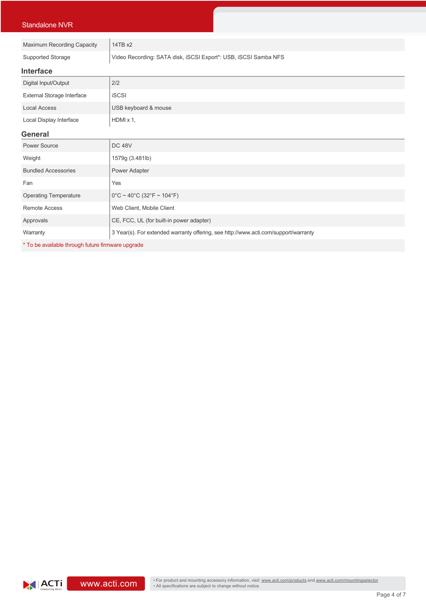| <b>Standalone NVR</b>        |                                                                                     |  |  |
|------------------------------|-------------------------------------------------------------------------------------|--|--|
|                              |                                                                                     |  |  |
| Maximum Recording Capacity   | 14TB x2                                                                             |  |  |
| Supported Storage            | Video Recording: SATA disk, iSCSI Export*: USB, iSCSI Samba NFS                     |  |  |
| <b>Interface</b>             |                                                                                     |  |  |
| Digital Input/Output         | 2/2                                                                                 |  |  |
| External Storage Interface   | <b>iSCSI</b>                                                                        |  |  |
| <b>Local Access</b>          | USB keyboard & mouse                                                                |  |  |
| Local Display Interface      | $HDMI \times 1$ ,                                                                   |  |  |
| <b>General</b>               |                                                                                     |  |  |
| Power Source                 | <b>DC 48V</b>                                                                       |  |  |
| Weight                       | 1579g (3.481lb)                                                                     |  |  |
| <b>Bundled Accessories</b>   | Power Adapter                                                                       |  |  |
| Fan                          | Yes                                                                                 |  |  |
| <b>Operating Temperature</b> | $0^{\circ}$ C ~ 40°C (32°F ~ 104°F)                                                 |  |  |
| <b>Remote Access</b>         | Web Client, Mobile Client                                                           |  |  |
| Approvals                    | CE, FCC, UL (for built-in power adapter)                                            |  |  |
| Warranty                     | 3 Year(s). For extended warranty offering, see http://www.acti.com/support/warranty |  |  |
|                              |                                                                                     |  |  |

\* To be available through future firmware upgrade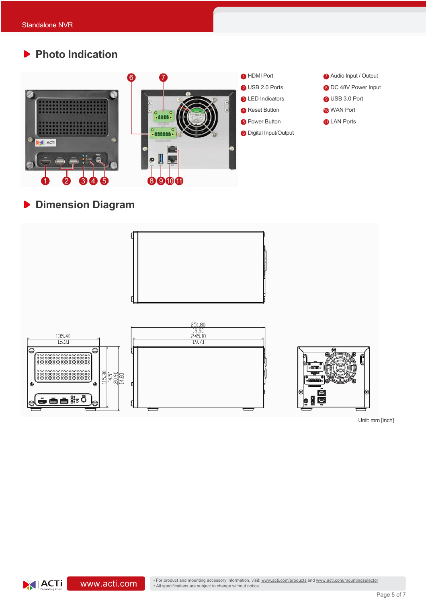**Photo Indication**





**Dimension Diagram**



Unit: mm [inch]

7 Audio Input / Output 8 DC 48V Power Input

9 USB 3.0 Port 10 WAN Port **11** LAN Ports

**WWW.acti.com/mountingselector** • For product and mounting accessory information, visit: www.acti.com/products and www.acti.com/mountingselector • All specifications are subject to change without notice.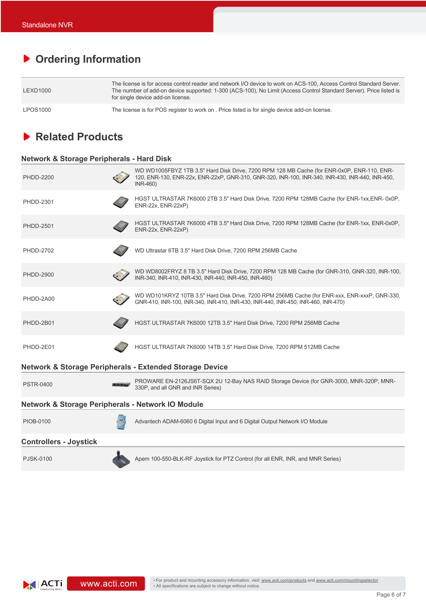## **Ordering Information**

| LEXD1000        | The license is for access control reader and network I/O device to work on ACS-100. Access Control Standard Server.<br>The number of add-on device supported: 1-300 (ACS-100), No Limit (Access Control Standard Server). Price listed is<br>for single device add-on license. |
|-----------------|--------------------------------------------------------------------------------------------------------------------------------------------------------------------------------------------------------------------------------------------------------------------------------|
| <b>LPOS1000</b> | The license is for POS register to work on . Price listed is for single device add-on license.                                                                                                                                                                                 |

### **Related Products**

### **Network & Storage Peripherals - Hard Disk**

| <b>PHDD-2200</b>                                             |  | WD WD1005FBYZ 1TB 3.5" Hard Disk Drive, 7200 RPM 128 MB Cache (for ENR-0x0P, ENR-110, ENR-<br>120, ENR-130, ENR-22x, ENR-22xP, GNR-310, GNR-320, INR-100, INR-340, INR-430, INR-440, INR-450,<br>INR-460) |
|--------------------------------------------------------------|--|-----------------------------------------------------------------------------------------------------------------------------------------------------------------------------------------------------------|
| <b>PHDD-2301</b>                                             |  | HGST ULTRASTAR 7K6000 2TB 3.5" Hard Disk Drive, 7200 RPM 128MB Cache (for ENR-1xx, ENR-0x0P,<br>ENR-22x, ENR-22xP)                                                                                        |
| <b>PHDD-2501</b>                                             |  | HGST ULTRASTAR 7K6000 4TB 3.5" Hard Disk Drive, 7200 RPM 128MB Cache (for ENR-1xx, ENR-0x0P,<br>ENR-22x, ENR-22xP)                                                                                        |
| PHDD-2702                                                    |  | WD Ultrastar 6TB 3.5" Hard Disk Drive, 7200 RPM 256MB Cache                                                                                                                                               |
| <b>PHDD-2900</b>                                             |  | WD WD8002FRYZ 8 TB 3.5" Hard Disk Drive, 7200 RPM 128 MB Cache (for GNR-310, GNR-320, INR-100,<br>INR-340, INR-410, INR-430, INR-440, INR-450, INR-460)                                                   |
| PHDD-2A00                                                    |  | WD WD101KRYZ 10TB 3.5" Hard Disk Drive, 7200 RPM 256MB Cache (for ENR-xxx, ENR-xxxP, GNR-330,<br>GNR-410, INR-100, INR-340, INR-410, INR-430, INR-440, INR-450, INR-460, INR-470)                         |
| PHDD-2B01                                                    |  | HGST ULTRASTAR 7K6000 12TB 3.5" Hard Disk Drive, 7200 RPM 256MB Cache                                                                                                                                     |
| PHDD-2E01                                                    |  | HGST ULTRASTAR 7K6000 14TB 3.5" Hard Disk Drive, 7200 RPM 512MB Cache                                                                                                                                     |
|                                                              |  | <b>Network &amp; Storage Peripherals - Extended Storage Device</b>                                                                                                                                        |
| <b>PSTR-0400</b>                                             |  | PROWARE EN-2126JS6T-SQX 2U 12-Bay NAS RAID Storage Device (for GNR-3000, MNR-320P, MNR-<br>330P, and all GNR and INR Series)                                                                              |
| <b>Network &amp; Storage Peripherals - Network IO Module</b> |  |                                                                                                                                                                                                           |
| PIOB-0100                                                    |  | Advantech ADAM-6060 6 Digital Input and 6 Digital Output Network I/O Module                                                                                                                               |
| <b>Controllers - Joystick</b>                                |  |                                                                                                                                                                                                           |
| <b>PJSK-0100</b>                                             |  | Apem 100-550-BLK-RF Joystick for PTZ Control (for all ENR, INR, and MNR Series)                                                                                                                           |
|                                                              |  |                                                                                                                                                                                                           |

 $|ACTi|$